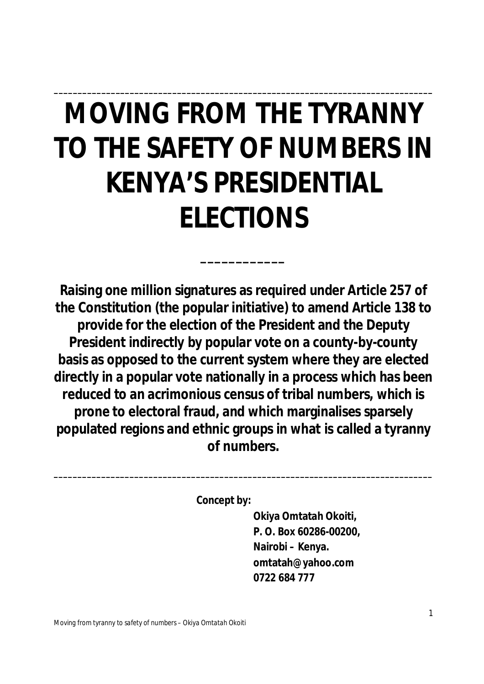# **MOVING FROM THE TYRANNY TO THE SAFETY OF NUMBERS IN KENYA'S PRESIDENTIAL ELECTIONS**

**\_\_\_\_\_\_\_\_\_\_\_\_**

**\_\_\_\_\_\_\_\_\_\_\_\_\_\_\_\_\_\_\_\_\_\_\_\_\_\_\_\_\_\_\_\_\_\_\_\_\_\_\_\_\_\_\_\_\_\_\_\_\_\_\_\_\_\_\_\_\_\_\_\_\_\_\_\_\_\_\_\_\_\_\_\_\_\_\_\_\_\_\_\_**

**Raising one million signatures as required under Article 257 of the Constitution (the popular initiative) to amend Article 138 to provide for the election of the President and the Deputy President indirectly by popular vote on a county-by-county basis as opposed to the current system where they are elected directly in a popular vote nationally in a process which has been reduced to an acrimonious census of tribal numbers, which is prone to electoral fraud, and which marginalises sparsely populated regions and ethnic groups in what is called a tyranny of numbers.**

**\_\_\_\_\_\_\_\_\_\_\_\_\_\_\_\_\_\_\_\_\_\_\_\_\_\_\_\_\_\_\_\_\_\_\_\_\_\_\_\_\_\_\_\_\_\_\_\_\_\_\_\_\_\_\_\_\_\_\_\_\_\_\_\_\_\_\_\_\_\_\_\_\_\_\_\_\_\_\_\_**

**Concept by:**

**Okiya Omtatah Okoiti, P. O. Box 60286-00200, Nairobi – Kenya. omtatah@yahoo.com 0722 684 777**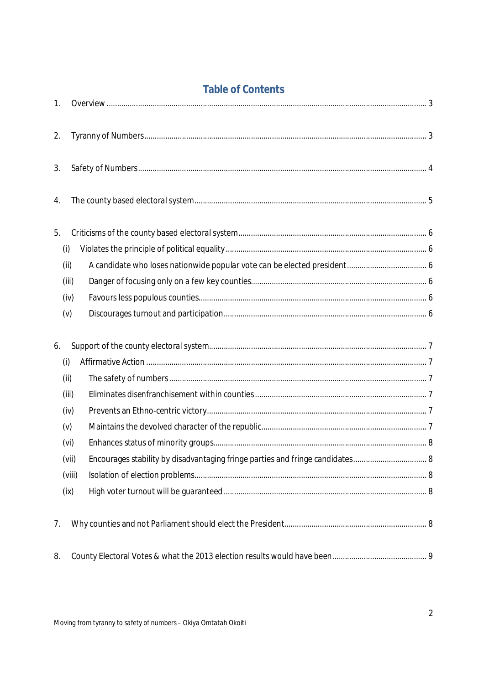| 1. |        |                                                                               |  |
|----|--------|-------------------------------------------------------------------------------|--|
| 2. |        |                                                                               |  |
| 3. |        |                                                                               |  |
| 4. |        |                                                                               |  |
| 5. |        |                                                                               |  |
|    | (i)    |                                                                               |  |
|    | (ii)   |                                                                               |  |
|    | (iii)  |                                                                               |  |
|    | (iv)   |                                                                               |  |
|    | (v)    |                                                                               |  |
| 6. |        |                                                                               |  |
|    | (i)    |                                                                               |  |
|    | (i)    |                                                                               |  |
|    |        |                                                                               |  |
|    | (iii)  |                                                                               |  |
|    | (iv)   |                                                                               |  |
|    | (v)    |                                                                               |  |
|    | (vi)   |                                                                               |  |
|    | (vii)  | Encourages stability by disadvantaging fringe parties and fringe candidates 8 |  |
|    | (viii) |                                                                               |  |
|    | (ix)   |                                                                               |  |
| 7. |        |                                                                               |  |

# **Table of Contents**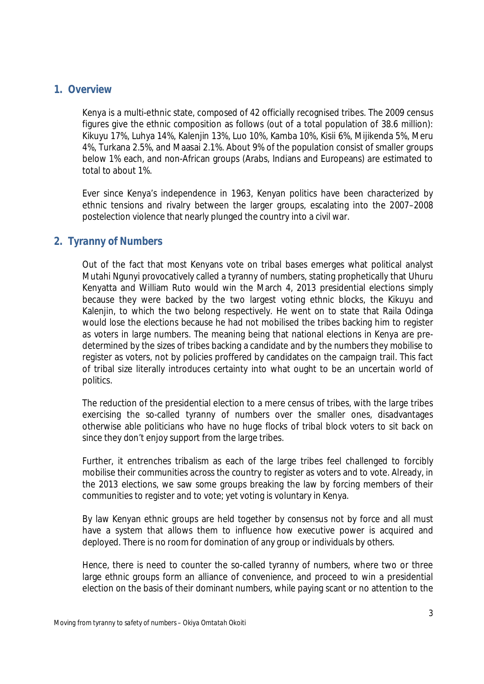#### **1. Overview**

Kenya is a multi-ethnic state, composed of 42 officially recognised tribes. The 2009 census figures give the ethnic composition as follows (out of a total population of 38.6 million): Kikuyu 17%, Luhya 14%, Kalenjin 13%, Luo 10%, Kamba 10%, Kisii 6%, Mijikenda 5%, Meru 4%, Turkana 2.5%, and Maasai 2.1%. About 9% of the population consist of smaller groups below 1% each, and non-African groups (Arabs, Indians and Europeans) are estimated to total to about 1%.

Ever since Kenya's independence in 1963, Kenyan politics have been characterized by ethnic tensions and rivalry between the larger groups, escalating into the 2007–2008 postelection violence that nearly plunged the country into a civil war.

# **2. Tyranny of Numbers**

Out of the fact that most Kenyans vote on tribal bases emerges what political analyst Mutahi Ngunyi provocatively called a tyranny of numbers, stating prophetically that Uhuru Kenyatta and William Ruto would win the March 4, 2013 presidential elections simply because they were backed by the two largest voting ethnic blocks, the Kikuyu and Kalenjin, to which the two belong respectively. He went on to state that Raila Odinga would lose the elections because he had not mobilised the tribes backing him to register as voters in large numbers. The meaning being that national elections in Kenya are predetermined by the sizes of tribes backing a candidate and by the numbers they mobilise to register as voters, not by policies proffered by candidates on the campaign trail. This fact of tribal size literally introduces certainty into what ought to be an uncertain world of politics.

The reduction of the presidential election to a mere census of tribes, with the large tribes exercising the so-called tyranny of numbers over the smaller ones, disadvantages otherwise able politicians who have no huge flocks of tribal block voters to sit back on since they don't enjoy support from the large tribes.

Further, it entrenches tribalism as each of the large tribes feel challenged to forcibly mobilise their communities across the country to register as voters and to vote. Already, in the 2013 elections, we saw some groups breaking the law by forcing members of their communities to register and to vote; yet voting is voluntary in Kenya.

By law Kenyan ethnic groups are held together by consensus not by force and all must have a system that allows them to influence how executive power is acquired and deployed. There is no room for domination of any group or individuals by others.

Hence, there is need to counter the so-called tyranny of numbers, where two or three large ethnic groups form an alliance of convenience, and proceed to win a presidential election on the basis of their dominant numbers, while paying scant or no attention to the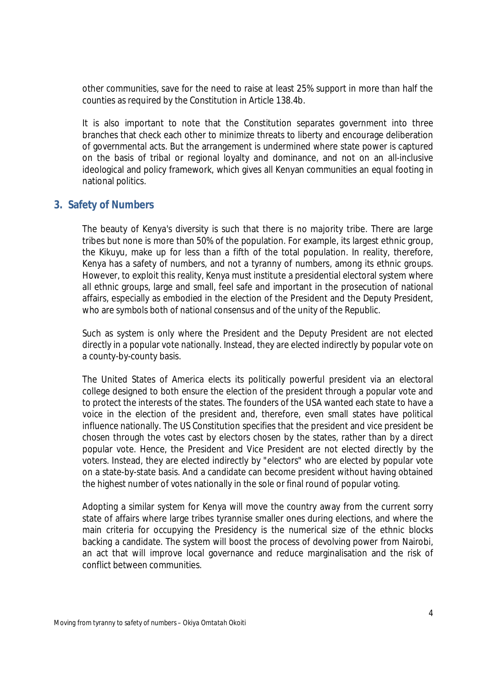other communities, save for the need to raise at least 25% support in more than half the counties as required by the Constitution in Article 138.4b.

It is also important to note that the Constitution separates government into three branches that check each other to minimize threats to liberty and encourage deliberation of governmental acts. But the arrangement is undermined where state power is captured on the basis of tribal or regional loyalty and dominance, and not on an all-inclusive ideological and policy framework, which gives all Kenyan communities an equal footing in national politics.

#### **3. Safety of Numbers**

The beauty of Kenya's diversity is such that there is no majority tribe. There are large tribes but none is more than 50% of the population. For example, its largest ethnic group, the Kikuyu, make up for less than a fifth of the total population. In reality, therefore, Kenya has a safety of numbers, and not a tyranny of numbers, among its ethnic groups. However, to exploit this reality, Kenya must institute a presidential electoral system where all ethnic groups, large and small, feel safe and important in the prosecution of national affairs, especially as embodied in the election of the President and the Deputy President, who are symbols both of national consensus and of the unity of the Republic.

Such as system is only where the President and the Deputy President are not elected directly in a popular vote nationally. Instead, they are elected indirectly by popular vote on a county-by-county basis.

The United States of America elects its politically powerful president via an electoral college designed to both ensure the election of the president through a popular vote and to protect the interests of the states. The founders of the USA wanted each state to have a voice in the election of the president and, therefore, even small states have political influence nationally. The US Constitution specifies that the president and vice president be chosen through the votes cast by electors chosen by the states, rather than by a direct popular vote. Hence, the President and Vice President are not elected directly by the voters. Instead, they are elected indirectly by "electors" who are elected by popular vote on a state-by-state basis. And a candidate can become president without having obtained the highest number of votes nationally in the sole or final round of popular voting.

Adopting a similar system for Kenya will move the country away from the current sorry state of affairs where large tribes tyrannise smaller ones during elections, and where the main criteria for occupying the Presidency is the numerical size of the ethnic blocks backing a candidate. The system will boost the process of devolving power from Nairobi, an act that will improve local governance and reduce marginalisation and the risk of conflict between communities.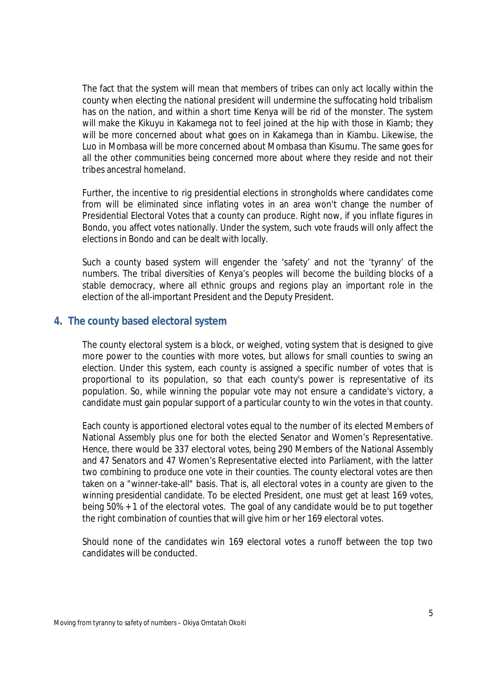The fact that the system will mean that members of tribes can only act locally within the county when electing the national president will undermine the suffocating hold tribalism has on the nation, and within a short time Kenya will be rid of the monster. The system will make the Kikuyu in Kakamega not to feel joined at the hip with those in Kiamb; they will be more concerned about what goes on in Kakamega than in Kiambu. Likewise, the Luo in Mombasa will be more concerned about Mombasa than Kisumu. The same goes for all the other communities being concerned more about where they reside and not their tribes ancestral homeland.

Further, the incentive to rig presidential elections in strongholds where candidates come from will be eliminated since inflating votes in an area won't change the number of Presidential Electoral Votes that a county can produce. Right now, if you inflate figures in Bondo, you affect votes nationally. Under the system, such vote frauds will only affect the elections in Bondo and can be dealt with locally.

Such a county based system will engender the 'safety' and not the 'tyranny' of the numbers. The tribal diversities of Kenya's peoples will become the building blocks of a stable democracy, where all ethnic groups and regions play an important role in the election of the all-important President and the Deputy President.

#### **4. The county based electoral system**

The county electoral system is a block, or weighed, voting system that is designed to give more power to the counties with more votes, but allows for small counties to swing an election. Under this system, each county is assigned a specific number of votes that is proportional to its population, so that each county's power is representative of its population. So, while winning the popular vote may not ensure a candidate's victory, a candidate must gain popular support of a particular county to win the votes in that county.

Each county is apportioned electoral votes equal to the number of its elected Members of National Assembly plus one for both the elected Senator and Women's Representative. Hence, there would be 337 electoral votes, being 290 Members of the National Assembly and 47 Senators and 47 Women's Representative elected into Parliament, with the latter two combining to produce one vote in their counties. The county electoral votes are then taken on a "winner-take-all" basis. That is, all electoral votes in a county are given to the winning presidential candidate. To be elected President, one must get at least 169 votes, being 50% + 1 of the electoral votes. The goal of any candidate would be to put together the right combination of counties that will give him or her 169 electoral votes.

Should none of the candidates win 169 electoral votes a runoff between the top two candidates will be conducted.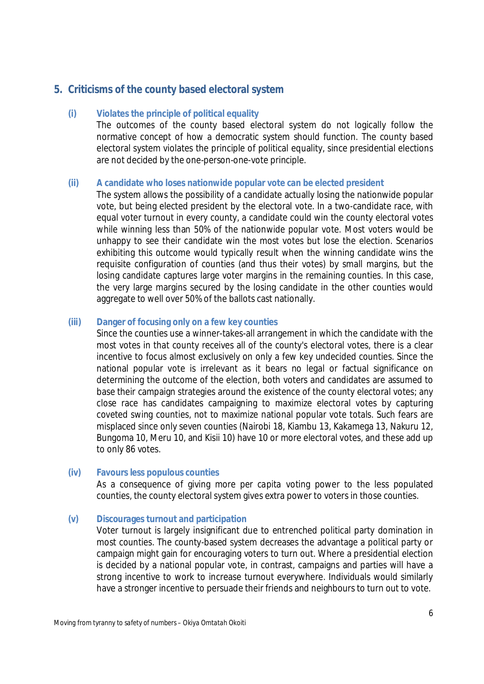# **5. Criticisms of the county based electoral system**

#### **(i) Violates the principle of political equality**

The outcomes of the county based electoral system do not logically follow the normative concept of how a democratic system should function. The county based electoral system violates the principle of political equality, since presidential elections are not decided by the one-person-one-vote principle.

#### **(ii) A candidate who loses nationwide popular vote can be elected president**

The system allows the possibility of a candidate actually losing the nationwide popular vote, but being elected president by the electoral vote. In a two-candidate race, with equal voter turnout in every county, a candidate could win the county electoral votes while winning less than 50% of the nationwide popular vote. Most voters would be unhappy to see their candidate win the most votes but lose the election. Scenarios exhibiting this outcome would typically result when the winning candidate wins the requisite configuration of counties (and thus their votes) by small margins, but the losing candidate captures large voter margins in the remaining counties. In this case, the very large margins secured by the losing candidate in the other counties would aggregate to well over 50% of the ballots cast nationally.

#### **(iii) Danger of focusing only on a few key counties**

Since the counties use a winner-takes-all arrangement in which the candidate with the most votes in that county receives all of the county's electoral votes, there is a clear incentive to focus almost exclusively on only a few key undecided counties. Since the national popular vote is irrelevant as it bears no legal or factual significance on determining the outcome of the election, both voters and candidates are assumed to base their campaign strategies around the existence of the county electoral votes; any close race has candidates campaigning to maximize electoral votes by capturing coveted swing counties, not to maximize national popular vote totals. Such fears are misplaced since only seven counties (Nairobi 18, Kiambu 13, Kakamega 13, Nakuru 12, Bungoma 10, Meru 10, and Kisii 10) have 10 or more electoral votes, and these add up to only 86 votes.

#### **(iv) Favours less populous counties**

As a consequence of giving more *per capita* voting power to the less populated counties, the county electoral system gives extra power to voters in those counties.

#### **(v) Discourages turnout and participation**

Voter turnout is largely insignificant due to entrenched political party domination in most counties. The county-based system decreases the advantage a political party or campaign might gain for encouraging voters to turn out. Where a presidential election is decided by a national popular vote, in contrast, campaigns and parties will have a strong incentive to work to increase turnout everywhere. Individuals would similarly have a stronger incentive to persuade their friends and neighbours to turn out to vote.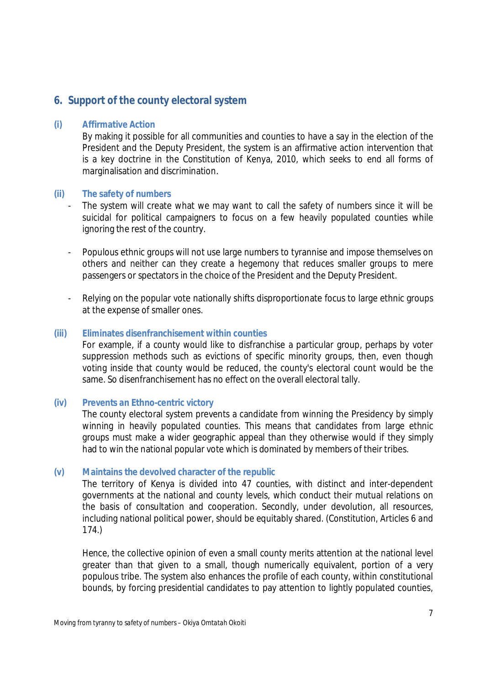### **6. Support of the county electoral system**

#### **(i) Affirmative Action**

By making it possible for all communities and counties to have a say in the election of the President and the Deputy President, the system is an affirmative action intervention that is a key doctrine in the Constitution of Kenya, 2010, which seeks to end all forms of marginalisation and discrimination.

#### **(ii) The safety of numbers**

- The system will create what we may want to call the safety of numbers since it will be suicidal for political campaigners to focus on a few heavily populated counties while ignoring the rest of the country.
- Populous ethnic groups will not use large numbers to tyrannise and impose themselves on others and neither can they create a hegemony that reduces smaller groups to mere passengers or spectators in the choice of the President and the Deputy President.
- Relying on the popular vote nationally shifts disproportionate focus to large ethnic groups at the expense of smaller ones.

#### **(iii) Eliminates disenfranchisement within counties**

For example, if a county would like to disfranchise a particular group, perhaps by voter suppression methods such as evictions of specific minority groups, then, even though voting inside that county would be reduced, the county's electoral count would be the same. So disenfranchisement has no effect on the overall electoral tally.

#### **(iv) Prevents an Ethno-centric victory**

The county electoral system prevents a candidate from winning the Presidency by simply winning in heavily populated counties. This means that candidates from large ethnic groups must make a wider geographic appeal than they otherwise would if they simply had to win the national popular vote which is dominated by members of their tribes.

#### **(v) Maintains the devolved character of the republic**

The territory of Kenya is divided into 47 counties, with distinct and inter-dependent governments at the national and county levels, which conduct their mutual relations on the basis of consultation and cooperation. Secondly, under devolution, all resources, including national political power, should be equitably shared. (*Constitution, Articles 6 and 174*.)

Hence, the collective opinion of even a small county merits attention at the national level greater than that given to a small, though numerically equivalent, portion of a very populous tribe. The system also enhances the profile of each county, within constitutional bounds, by forcing presidential candidates to pay attention to lightly populated counties,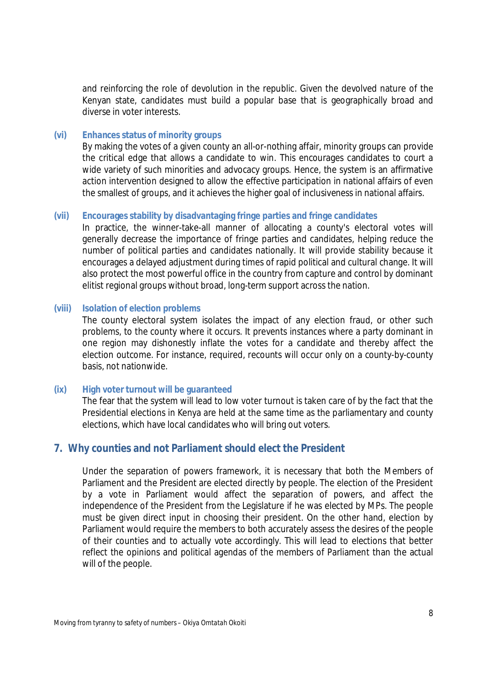and reinforcing the role of devolution in the republic. Given the devolved nature of the Kenyan state, candidates must build a popular base that is geographically broad and diverse in voter interests.

#### **(vi) Enhances status of minority groups**

By making the votes of a given county an all-or-nothing affair, minority groups can provide the critical edge that allows a candidate to win. This encourages candidates to court a wide variety of such minorities and advocacy groups. Hence, the system is an affirmative action intervention designed to allow the effective participation in national affairs of even the smallest of groups, and it achieves the higher goal of inclusiveness in national affairs.

#### **(vii) Encourages stability by disadvantaging fringe parties and fringe candidates**

In practice, the winner-take-all manner of allocating a county's electoral votes will generally decrease the importance of fringe parties and candidates, helping reduce the number of political parties and candidates nationally. It will provide stability because it encourages a delayed adjustment during times of rapid political and cultural change. It will also protect the most powerful office in the country from capture and control by dominant elitist regional groups without broad, long-term support across the nation.

#### **(viii) Isolation of election problems**

The county electoral system isolates the impact of any election fraud, or other such problems, to the county where it occurs. It prevents instances where a party dominant in one region may dishonestly inflate the votes for a candidate and thereby affect the election outcome. For instance, required, recounts will occur only on a county-by-county basis, not nationwide.

#### **(ix) High voter turnout will be guaranteed**

The fear that the system will lead to low voter turnout is taken care of by the fact that the Presidential elections in Kenya are held at the same time as the parliamentary and county elections, which have local candidates who will bring out voters.

#### **7. Why counties and not Parliament should elect the President**

Under the separation of powers framework, it is necessary that both the Members of Parliament and the President are elected directly by people. The election of the President by a vote in Parliament would affect the separation of powers, and affect the independence of the President from the Legislature if he was elected by MPs. The people must be given direct input in choosing their president. On the other hand, election by Parliament would require the members to both accurately assess the desires of the people of their counties and to actually vote accordingly. This will lead to elections that better reflect the opinions and political agendas of the members of Parliament than the actual will of the people.